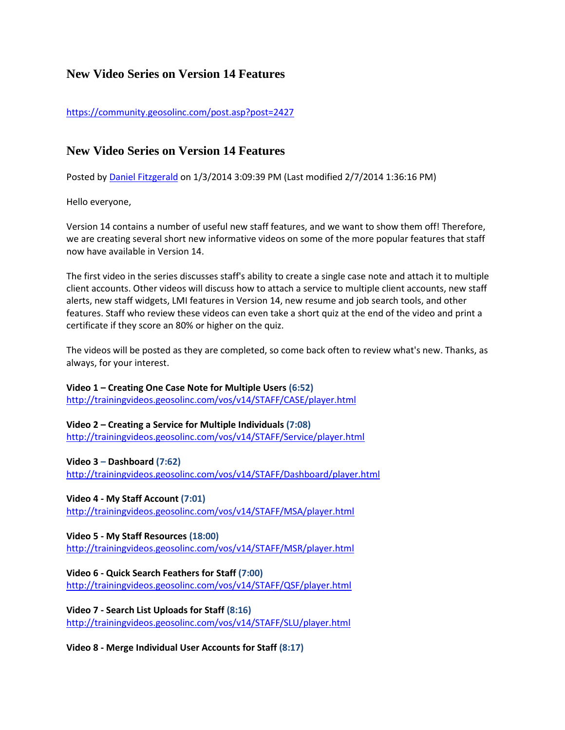# **New Video Series on Version 14 Features**

<https://community.geosolinc.com/post.asp?post=2427>

# **New Video Series on Version 14 Features**

Posted by [Daniel Fitzgerald](https://community.geosolinc.com/profile.asp?user=1515) on 1/3/2014 3:09:39 PM (Last modified 2/7/2014 1:36:16 PM)

Hello everyone,

Version 14 contains a number of useful new staff features, and we want to show them off! Therefore, we are creating several short new informative videos on some of the more popular features that staff now have available in Version 14.

The first video in the series discusses staff's ability to create a single case note and attach it to multiple client accounts. Other videos will discuss how to attach a service to multiple client accounts, new staff alerts, new staff widgets, LMI features in Version 14, new resume and job search tools, and other features. Staff who review these videos can even take a short quiz at the end of the video and print a certificate if they score an 80% or higher on the quiz.

The videos will be posted as they are completed, so come back often to review what's new. Thanks, as always, for your interest.

**Video 1 – Creating One Case Note for Multiple Users (6:52)** <http://trainingvideos.geosolinc.com/vos/v14/STAFF/CASE/player.html>

**Video 2 – Creating a Service for Multiple Individuals (7:08)** <http://trainingvideos.geosolinc.com/vos/v14/STAFF/Service/player.html>

## **Video 3 – Dashboard (7:62)**

<http://trainingvideos.geosolinc.com/vos/v14/STAFF/Dashboard/player.html>

### **Video 4 - My Staff Account (7:01)**

<http://trainingvideos.geosolinc.com/vos/v14/STAFF/MSA/player.html>

### **Video 5 - My Staff Resources (18:00)**

<http://trainingvideos.geosolinc.com/vos/v14/STAFF/MSR/player.html>

## **Video 6 - Quick Search Feathers for Staff (7:00)**

<http://trainingvideos.geosolinc.com/vos/v14/STAFF/QSF/player.html>

**Video 7 - Search List Uploads for Staff (8:16)**

<http://trainingvideos.geosolinc.com/vos/v14/STAFF/SLU/player.html>

**Video 8 - Merge Individual User Accounts for Staff (8:17)**